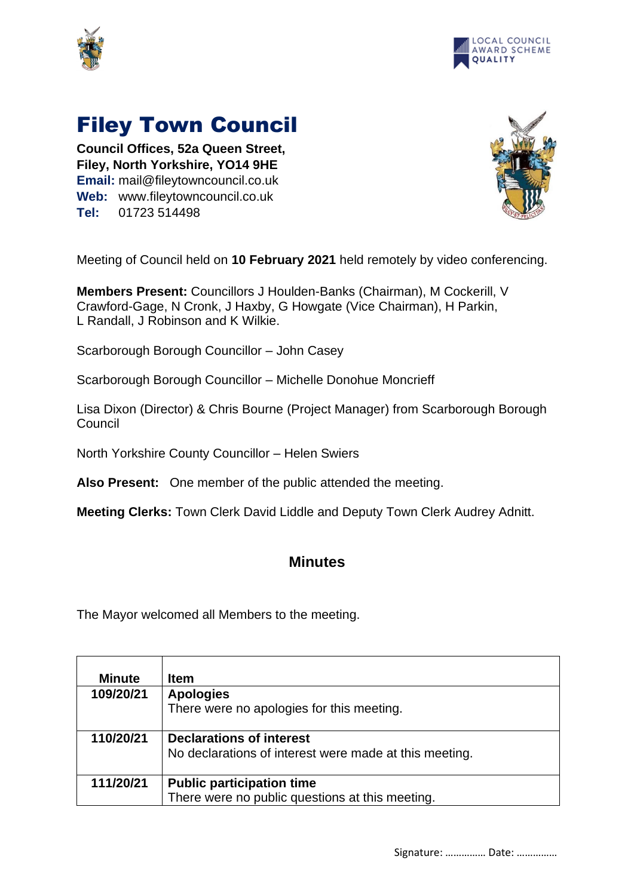



## Filey Town Council

**Council Offices, 52a Queen Street, Filey, North Yorkshire, YO14 9HE Email:** mail@fileytowncouncil.co.uk **Web:** www.fileytowncouncil.co.uk **Tel:** 01723 514498



Meeting of Council held on **10 February 2021** held remotely by video conferencing.

**Members Present:** Councillors J Houlden-Banks (Chairman), M Cockerill, V Crawford-Gage, N Cronk, J Haxby, G Howgate (Vice Chairman), H Parkin, L Randall, J Robinson and K Wilkie.

Scarborough Borough Councillor – John Casey

Scarborough Borough Councillor – Michelle Donohue Moncrieff

Lisa Dixon (Director) & Chris Bourne (Project Manager) from Scarborough Borough **Council** 

North Yorkshire County Councillor – Helen Swiers

**Also Present:** One member of the public attended the meeting.

**Meeting Clerks:** Town Clerk David Liddle and Deputy Town Clerk Audrey Adnitt.

## **Minutes**

The Mayor welcomed all Members to the meeting.

| <b>Minute</b> | <b>Item</b>                                            |
|---------------|--------------------------------------------------------|
| 109/20/21     | <b>Apologies</b>                                       |
|               | There were no apologies for this meeting.              |
| 110/20/21     | <b>Declarations of interest</b>                        |
|               | No declarations of interest were made at this meeting. |
| 111/20/21     | <b>Public participation time</b>                       |
|               | There were no public questions at this meeting.        |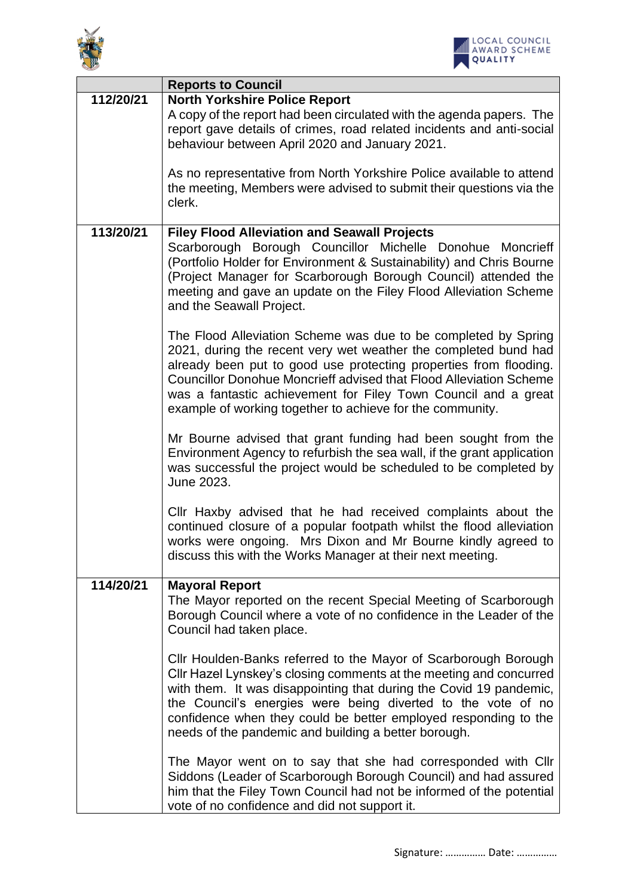



|           | <b>Reports to Council</b>                                                                                                                                                                                                                                                                                                                                                                                          |
|-----------|--------------------------------------------------------------------------------------------------------------------------------------------------------------------------------------------------------------------------------------------------------------------------------------------------------------------------------------------------------------------------------------------------------------------|
| 112/20/21 | <b>North Yorkshire Police Report</b><br>A copy of the report had been circulated with the agenda papers. The<br>report gave details of crimes, road related incidents and anti-social<br>behaviour between April 2020 and January 2021.                                                                                                                                                                            |
|           | As no representative from North Yorkshire Police available to attend<br>the meeting, Members were advised to submit their questions via the<br>clerk.                                                                                                                                                                                                                                                              |
| 113/20/21 | <b>Filey Flood Alleviation and Seawall Projects</b><br>Scarborough Borough Councillor Michelle Donohue Moncrieff<br>(Portfolio Holder for Environment & Sustainability) and Chris Bourne<br>(Project Manager for Scarborough Borough Council) attended the<br>meeting and gave an update on the Filey Flood Alleviation Scheme<br>and the Seawall Project.                                                         |
|           | The Flood Alleviation Scheme was due to be completed by Spring<br>2021, during the recent very wet weather the completed bund had<br>already been put to good use protecting properties from flooding.<br><b>Councillor Donohue Moncrieff advised that Flood Alleviation Scheme</b><br>was a fantastic achievement for Filey Town Council and a great<br>example of working together to achieve for the community. |
|           | Mr Bourne advised that grant funding had been sought from the<br>Environment Agency to refurbish the sea wall, if the grant application<br>was successful the project would be scheduled to be completed by<br>June 2023.                                                                                                                                                                                          |
|           | Cllr Haxby advised that he had received complaints about the<br>continued closure of a popular footpath whilst the flood alleviation<br>works were ongoing. Mrs Dixon and Mr Bourne kindly agreed to<br>discuss this with the Works Manager at their next meeting.                                                                                                                                                 |
| 114/20/21 | <b>Mayoral Report</b><br>The Mayor reported on the recent Special Meeting of Scarborough<br>Borough Council where a vote of no confidence in the Leader of the<br>Council had taken place.                                                                                                                                                                                                                         |
|           | Cllr Houlden-Banks referred to the Mayor of Scarborough Borough<br>Cllr Hazel Lynskey's closing comments at the meeting and concurred<br>with them. It was disappointing that during the Covid 19 pandemic,<br>the Council's energies were being diverted to the vote of no<br>confidence when they could be better employed responding to the<br>needs of the pandemic and building a better borough.             |
|           | The Mayor went on to say that she had corresponded with Cllr<br>Siddons (Leader of Scarborough Borough Council) and had assured<br>him that the Filey Town Council had not be informed of the potential<br>vote of no confidence and did not support it.                                                                                                                                                           |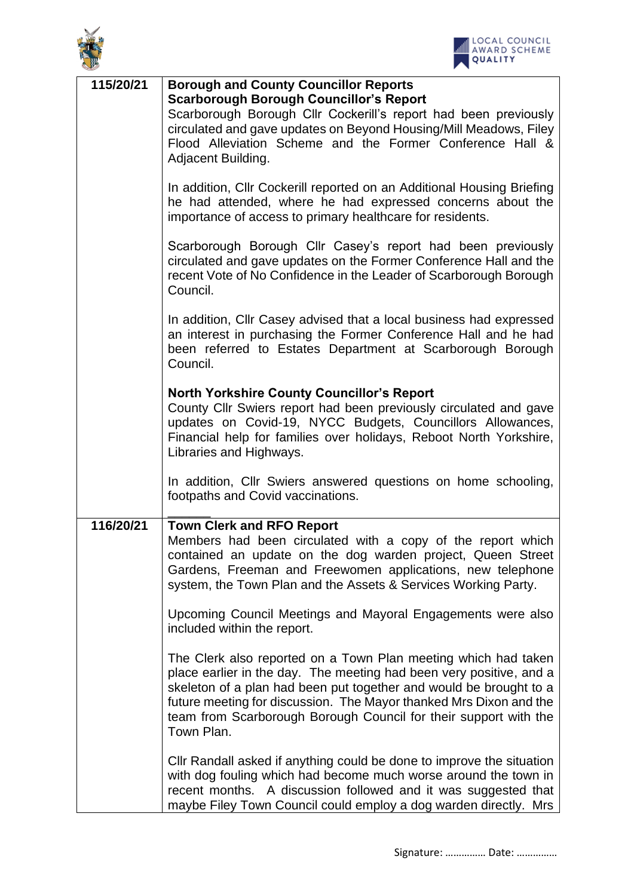



| 115/20/21 | <b>Borough and County Councillor Reports</b><br><b>Scarborough Borough Councillor's Report</b><br>Scarborough Borough Cllr Cockerill's report had been previously<br>circulated and gave updates on Beyond Housing/Mill Meadows, Filey<br>Flood Alleviation Scheme and the Former Conference Hall &<br>Adjacent Building.                                           |
|-----------|---------------------------------------------------------------------------------------------------------------------------------------------------------------------------------------------------------------------------------------------------------------------------------------------------------------------------------------------------------------------|
|           | In addition, Cllr Cockerill reported on an Additional Housing Briefing<br>he had attended, where he had expressed concerns about the<br>importance of access to primary healthcare for residents.                                                                                                                                                                   |
|           | Scarborough Borough Cllr Casey's report had been previously<br>circulated and gave updates on the Former Conference Hall and the<br>recent Vote of No Confidence in the Leader of Scarborough Borough<br>Council.                                                                                                                                                   |
|           | In addition, Cllr Casey advised that a local business had expressed<br>an interest in purchasing the Former Conference Hall and he had<br>been referred to Estates Department at Scarborough Borough<br>Council.                                                                                                                                                    |
|           | <b>North Yorkshire County Councillor's Report</b><br>County Cllr Swiers report had been previously circulated and gave<br>updates on Covid-19, NYCC Budgets, Councillors Allowances,<br>Financial help for families over holidays, Reboot North Yorkshire,<br>Libraries and Highways.                                                                               |
|           | In addition, Cllr Swiers answered questions on home schooling,<br>footpaths and Covid vaccinations.                                                                                                                                                                                                                                                                 |
| 116/20/21 | <b>Town Clerk and RFO Report</b><br>Members had been circulated with a copy of the report which<br>contained an update on the dog warden project, Queen Street<br>Gardens, Freeman and Freewomen applications, new telephone<br>system, the Town Plan and the Assets & Services Working Party.                                                                      |
|           | Upcoming Council Meetings and Mayoral Engagements were also<br>included within the report.                                                                                                                                                                                                                                                                          |
|           | The Clerk also reported on a Town Plan meeting which had taken<br>place earlier in the day. The meeting had been very positive, and a<br>skeleton of a plan had been put together and would be brought to a<br>future meeting for discussion. The Mayor thanked Mrs Dixon and the<br>team from Scarborough Borough Council for their support with the<br>Town Plan. |
|           | Cllr Randall asked if anything could be done to improve the situation<br>with dog fouling which had become much worse around the town in<br>recent months. A discussion followed and it was suggested that<br>maybe Filey Town Council could employ a dog warden directly. Mrs                                                                                      |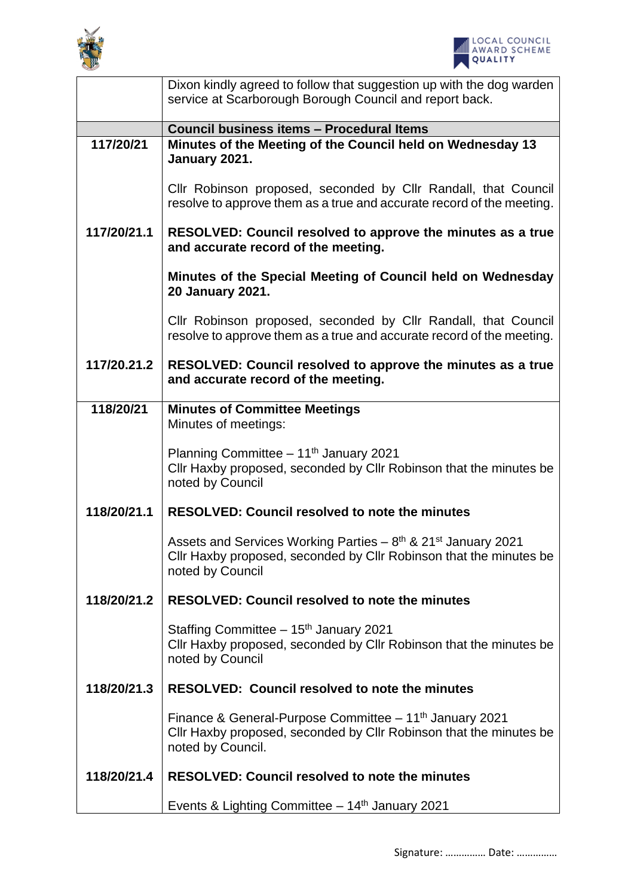



|             | Dixon kindly agreed to follow that suggestion up with the dog warden<br>service at Scarborough Borough Council and report back.                                                  |
|-------------|----------------------------------------------------------------------------------------------------------------------------------------------------------------------------------|
|             |                                                                                                                                                                                  |
| 117/20/21   | Council business items - Procedural Items                                                                                                                                        |
|             | Minutes of the Meeting of the Council held on Wednesday 13<br>January 2021.                                                                                                      |
|             | Cllr Robinson proposed, seconded by Cllr Randall, that Council<br>resolve to approve them as a true and accurate record of the meeting.                                          |
| 117/20/21.1 | RESOLVED: Council resolved to approve the minutes as a true<br>and accurate record of the meeting.                                                                               |
|             | Minutes of the Special Meeting of Council held on Wednesday<br><b>20 January 2021.</b>                                                                                           |
|             | Cllr Robinson proposed, seconded by Cllr Randall, that Council<br>resolve to approve them as a true and accurate record of the meeting.                                          |
| 117/20.21.2 | RESOLVED: Council resolved to approve the minutes as a true<br>and accurate record of the meeting.                                                                               |
| 118/20/21   | <b>Minutes of Committee Meetings</b>                                                                                                                                             |
|             | Minutes of meetings:                                                                                                                                                             |
|             | Planning Committee - 11 <sup>th</sup> January 2021<br>Cllr Haxby proposed, seconded by Cllr Robinson that the minutes be<br>noted by Council                                     |
| 118/20/21.1 | <b>RESOLVED: Council resolved to note the minutes</b>                                                                                                                            |
|             | Assets and Services Working Parties $-8$ <sup>th</sup> & 21 <sup>st</sup> January 2021<br>Cllr Haxby proposed, seconded by Cllr Robinson that the minutes be<br>noted by Council |
| 118/20/21.2 | <b>RESOLVED: Council resolved to note the minutes</b>                                                                                                                            |
|             | Staffing Committee $-15th$ January 2021<br>Cllr Haxby proposed, seconded by Cllr Robinson that the minutes be<br>noted by Council                                                |
| 118/20/21.3 | <b>RESOLVED: Council resolved to note the minutes</b>                                                                                                                            |
|             | Finance & General-Purpose Committee $-11th$ January 2021<br>Cllr Haxby proposed, seconded by Cllr Robinson that the minutes be<br>noted by Council.                              |
| 118/20/21.4 | <b>RESOLVED: Council resolved to note the minutes</b>                                                                                                                            |
|             | Events & Lighting Committee $-14th$ January 2021                                                                                                                                 |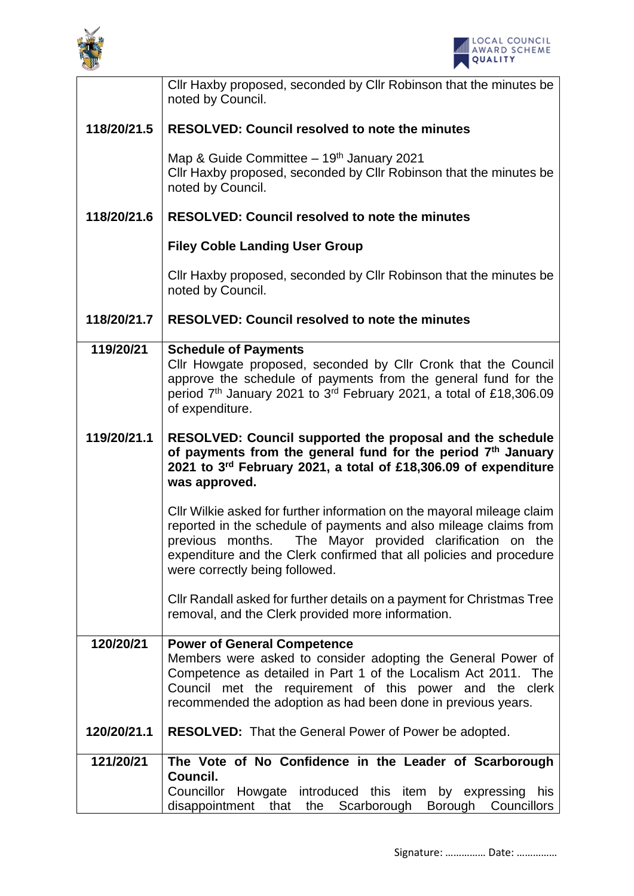



|             | Cllr Haxby proposed, seconded by Cllr Robinson that the minutes be<br>noted by Council.                                                                                                                                                                                                                             |
|-------------|---------------------------------------------------------------------------------------------------------------------------------------------------------------------------------------------------------------------------------------------------------------------------------------------------------------------|
| 118/20/21.5 | <b>RESOLVED: Council resolved to note the minutes</b>                                                                                                                                                                                                                                                               |
|             | Map & Guide Committee - 19th January 2021<br>Cllr Haxby proposed, seconded by Cllr Robinson that the minutes be<br>noted by Council.                                                                                                                                                                                |
| 118/20/21.6 | <b>RESOLVED: Council resolved to note the minutes</b>                                                                                                                                                                                                                                                               |
|             | <b>Filey Coble Landing User Group</b>                                                                                                                                                                                                                                                                               |
|             | Cllr Haxby proposed, seconded by Cllr Robinson that the minutes be<br>noted by Council.                                                                                                                                                                                                                             |
| 118/20/21.7 | <b>RESOLVED: Council resolved to note the minutes</b>                                                                                                                                                                                                                                                               |
| 119/20/21   | <b>Schedule of Payments</b><br>Cllr Howgate proposed, seconded by Cllr Cronk that the Council<br>approve the schedule of payments from the general fund for the<br>period $7th$ January 2021 to 3 <sup>rd</sup> February 2021, a total of £18,306.09<br>of expenditure.                                             |
| 119/20/21.1 | RESOLVED: Council supported the proposal and the schedule<br>of payments from the general fund for the period $7th$ January<br>2021 to 3rd February 2021, a total of £18,306.09 of expenditure<br>was approved.                                                                                                     |
|             | CIIr Wilkie asked for further information on the mayoral mileage claim<br>reported in the schedule of payments and also mileage claims from<br>The Mayor provided clarification on the<br>previous months.<br>expenditure and the Clerk confirmed that all policies and procedure<br>were correctly being followed. |
|             | CIIr Randall asked for further details on a payment for Christmas Tree<br>removal, and the Clerk provided more information.                                                                                                                                                                                         |
| 120/20/21   | <b>Power of General Competence</b><br>Members were asked to consider adopting the General Power of<br>Competence as detailed in Part 1 of the Localism Act 2011. The<br>Council met the requirement of this power and the clerk<br>recommended the adoption as had been done in previous years.                     |
| 120/20/21.1 | <b>RESOLVED:</b> That the General Power of Power be adopted.                                                                                                                                                                                                                                                        |
| 121/20/21   | The Vote of No Confidence in the Leader of Scarborough<br>Council.<br>Councillor Howgate introduced this item by expressing his<br>disappointment that the Scarborough Borough Councillors                                                                                                                          |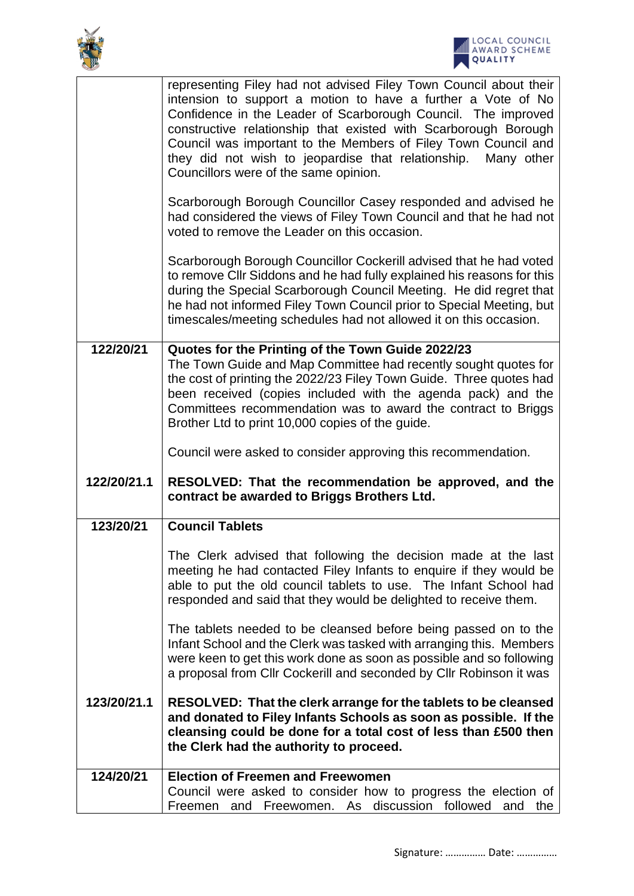



|             | representing Filey had not advised Filey Town Council about their<br>intension to support a motion to have a further a Vote of No<br>Confidence in the Leader of Scarborough Council. The improved<br>constructive relationship that existed with Scarborough Borough<br>Council was important to the Members of Filey Town Council and<br>they did not wish to jeopardise that relationship. Many other<br>Councillors were of the same opinion. |
|-------------|---------------------------------------------------------------------------------------------------------------------------------------------------------------------------------------------------------------------------------------------------------------------------------------------------------------------------------------------------------------------------------------------------------------------------------------------------|
|             | Scarborough Borough Councillor Casey responded and advised he<br>had considered the views of Filey Town Council and that he had not<br>voted to remove the Leader on this occasion.                                                                                                                                                                                                                                                               |
|             | Scarborough Borough Councillor Cockerill advised that he had voted<br>to remove CIIr Siddons and he had fully explained his reasons for this<br>during the Special Scarborough Council Meeting. He did regret that<br>he had not informed Filey Town Council prior to Special Meeting, but<br>timescales/meeting schedules had not allowed it on this occasion.                                                                                   |
| 122/20/21   | Quotes for the Printing of the Town Guide 2022/23<br>The Town Guide and Map Committee had recently sought quotes for                                                                                                                                                                                                                                                                                                                              |
|             | the cost of printing the 2022/23 Filey Town Guide. Three quotes had                                                                                                                                                                                                                                                                                                                                                                               |
|             | been received (copies included with the agenda pack) and the<br>Committees recommendation was to award the contract to Briggs                                                                                                                                                                                                                                                                                                                     |
|             | Brother Ltd to print 10,000 copies of the guide.                                                                                                                                                                                                                                                                                                                                                                                                  |
|             | Council were asked to consider approving this recommendation.                                                                                                                                                                                                                                                                                                                                                                                     |
|             |                                                                                                                                                                                                                                                                                                                                                                                                                                                   |
| 122/20/21.1 | RESOLVED: That the recommendation be approved, and the<br>contract be awarded to Briggs Brothers Ltd.                                                                                                                                                                                                                                                                                                                                             |
| 123/20/21   | <b>Council Tablets</b>                                                                                                                                                                                                                                                                                                                                                                                                                            |
|             | The Clerk advised that following the decision made at the last<br>meeting he had contacted Filey Infants to enquire if they would be<br>able to put the old council tablets to use. The Infant School had<br>responded and said that they would be delighted to receive them.                                                                                                                                                                     |
|             | The tablets needed to be cleansed before being passed on to the<br>Infant School and the Clerk was tasked with arranging this. Members<br>were keen to get this work done as soon as possible and so following<br>a proposal from Cllr Cockerill and seconded by Cllr Robinson it was                                                                                                                                                             |
| 123/20/21.1 | RESOLVED: That the clerk arrange for the tablets to be cleansed<br>and donated to Filey Infants Schools as soon as possible. If the<br>cleansing could be done for a total cost of less than £500 then<br>the Clerk had the authority to proceed.                                                                                                                                                                                                 |
| 124/20/21   | <b>Election of Freemen and Freewomen</b><br>Council were asked to consider how to progress the election of                                                                                                                                                                                                                                                                                                                                        |